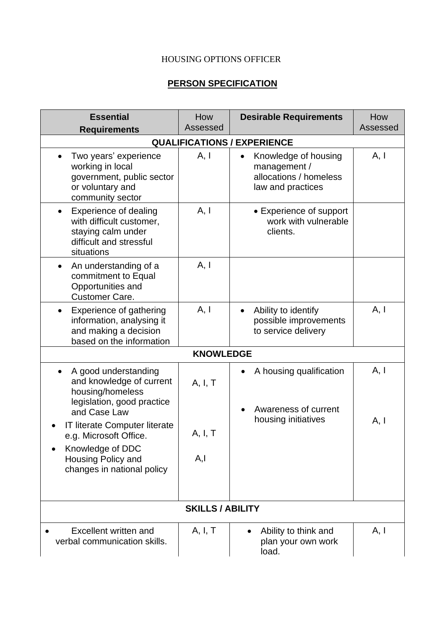## HOUSING OPTIONS OFFICER

## **PERSON SPECIFICATION**

| <b>Essential</b><br><b>Requirements</b>                                                                                   | How<br>Assessed         | <b>Desirable Requirements</b>                                                                    | How<br>Assessed |  |  |  |  |  |  |  |
|---------------------------------------------------------------------------------------------------------------------------|-------------------------|--------------------------------------------------------------------------------------------------|-----------------|--|--|--|--|--|--|--|
| <b>QUALIFICATIONS / EXPERIENCE</b>                                                                                        |                         |                                                                                                  |                 |  |  |  |  |  |  |  |
| Two years' experience<br>working in local<br>government, public sector<br>or voluntary and<br>community sector            | A, I                    | Knowledge of housing<br>$\bullet$<br>management /<br>allocations / homeless<br>law and practices | A, I            |  |  |  |  |  |  |  |
| <b>Experience of dealing</b><br>with difficult customer,<br>staying calm under<br>difficult and stressful<br>situations   | A, I                    | • Experience of support<br>work with vulnerable<br>clients.                                      |                 |  |  |  |  |  |  |  |
| An understanding of a<br>$\bullet$<br>commitment to Equal<br>Opportunities and<br><b>Customer Care.</b>                   | A, I                    |                                                                                                  |                 |  |  |  |  |  |  |  |
| Experience of gathering<br>$\bullet$<br>information, analysing it<br>and making a decision<br>based on the information    | A, I                    | Ability to identify<br>$\bullet$<br>possible improvements<br>to service delivery                 | A, I            |  |  |  |  |  |  |  |
|                                                                                                                           | <b>KNOWLEDGE</b>        |                                                                                                  |                 |  |  |  |  |  |  |  |
| A good understanding<br>and knowledge of current<br>housing/homeless                                                      | A, I, T                 | A housing qualification                                                                          | A, I            |  |  |  |  |  |  |  |
| legislation, good practice<br>and Case Law<br>IT literate Computer literate<br>e.g. Microsoft Office.<br>Knowledge of DDC | A, I, T                 | Awareness of current<br>housing initiatives                                                      | A, I            |  |  |  |  |  |  |  |
| Housing Policy and<br>changes in national policy                                                                          | A, I                    |                                                                                                  |                 |  |  |  |  |  |  |  |
|                                                                                                                           | <b>SKILLS / ABILITY</b> |                                                                                                  |                 |  |  |  |  |  |  |  |
| Excellent written and<br>verbal communication skills.                                                                     | A, I, T                 | Ability to think and<br>plan your own work<br>load.                                              | A, I            |  |  |  |  |  |  |  |